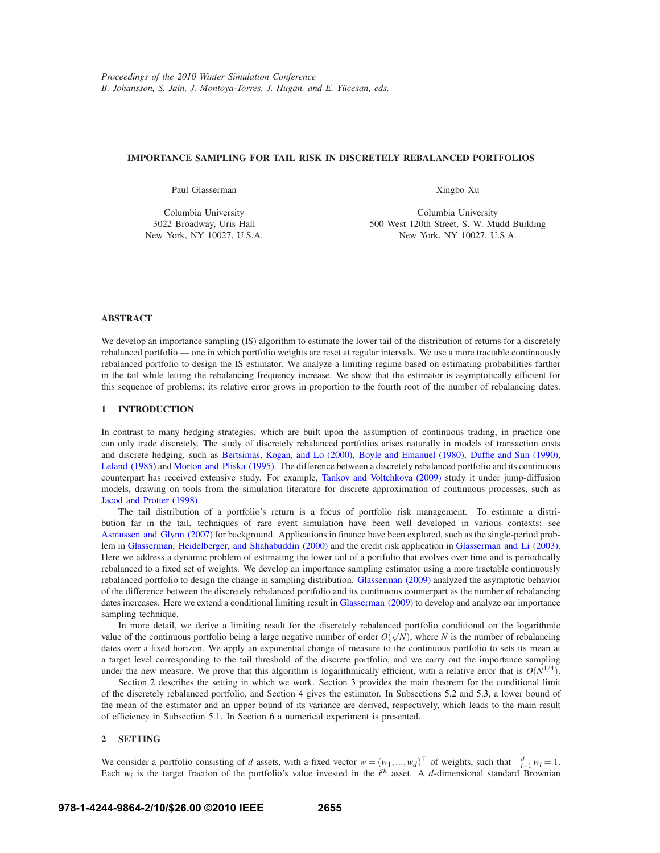# **IMPORTANCE SAMPLING FOR TAIL RISK IN DISCRETELY REBALANCED PORTFOLIOS**

Paul Glasserman

Columbia University 3022 Broadway, Uris Hall New York, NY 10027, U.S.A. Xingbo Xu

Columbia University 500 West 120th Street, S. W. Mudd Building New York, NY 10027, U.S.A.

# **ABSTRACT**

We develop an importance sampling (IS) algorithm to estimate the lower tail of the distribution of returns for a discretely rebalanced portfolio — one in which portfolio weights are reset at regular intervals. We use a more tractable continuously rebalanced portfolio to design the IS estimator. We analyze a limiting regime based on estimating probabilities farther in the tail while letting the rebalancing frequency increase. We show that the estimator is asymptotically efficient for this sequence of problems; its relative error grows in proportion to the fourth root of the number of rebalancing dates.

# **1 INTRODUCTION**

In contrast to many hedging strategies, which are built upon the assumption of continuous trading, in practice one can only trade discretely. The study of discretely rebalanced portfolios arises naturally in models of transaction costs and discrete hedging, such as Bertsimas, Kogan, and Lo (2000), Boyle and Emanuel (1980), Duffie and Sun (1990), Leland (1985) and Morton and Pliska (1995). The difference between a discretely rebalanced portfolio and its continuous counterpart has received extensive study. For example, Tankov and Voltchkova (2009) study it under jump-diffusion models, drawing on tools from the simulation literature for discrete approximation of continuous processes, such as Jacod and Protter (1998).

The tail distribution of a portfolio's return is a focus of portfolio risk management. To estimate a distribution far in the tail, techniques of rare event simulation have been well developed in various contexts; see Asmussen and Glynn (2007) for background. Applications in finance have been explored, such as the single-period problem in Glasserman, Heidelberger, and Shahabuddin (2000) and the credit risk application in Glasserman and Li (2003). Here we address a dynamic problem of estimating the lower tail of a portfolio that evolves over time and is periodically rebalanced to a fixed set of weights. We develop an importance sampling estimator using a more tractable continuously rebalanced portfolio to design the change in sampling distribution. Glasserman (2009) analyzed the asymptotic behavior of the difference between the discretely rebalanced portfolio and its continuous counterpart as the number of rebalancing dates increases. Here we extend a conditional limiting result in Glasserman (2009) to develop and analyze our importance sampling technique.

In more detail, we derive a limiting result for the discretely rebalanced portfolio conditional on the logarithmic value of the continuous portfolio being a large negative number of order  $O(\sqrt{N})$ , where *N* is the number of rebalancing dates over a fixed horizon. We apply an exponential change of measure to the continuous portfolio to sets its mean at a target level corresponding to the tail threshold of the discrete portfolio, and we carry out the importance sampling under the new measure. We prove that this algorithm is logarithmically efficient, with a relative error that is  $O(N^{1/4})$ .

Section 2 describes the setting in which we work. Section 3 provides the main theorem for the conditional limit of the discretely rebalanced portfolio, and Section 4 gives the estimator. In Subsections 5.2 and 5.3, a lower bound of the mean of the estimator and an upper bound of its variance are derived, respectively, which leads to the main result of efficiency in Subsection 5.1. In Section 6 a numerical experiment is presented.

## **2 SETTING**

We consider a portfolio consisting of *d* assets, with a fixed vector  $w = (w_1, ..., w_d)^\top$  of weights, such that  $\sum_{i=1}^d w_i = 1$ . Each  $w_i$  is the target fraction of the portfolio's value invested in the  $i^{th}$  asset. A *d*-dimensional standard Brownian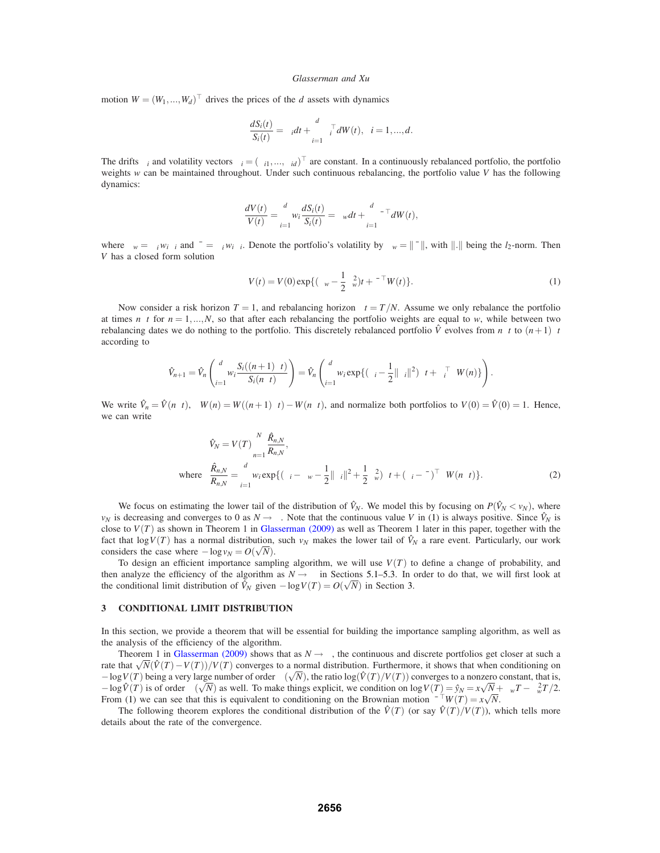motion  $W = (W_1, ..., W_d)^\top$  drives the prices of the *d* assets with dynamics

$$
\frac{dS_i(t)}{S_i(t)} = \mu_i dt + \sum_{i=1}^d \sigma_i^\top dW(t), \quad i = 1, \dots, d.
$$

The drifts  $\mu_i$  and volatility vectors  $\sigma_i = (\sigma_{i1},...,\sigma_{id})^\top$  are constant. In a continuously rebalanced portfolio, the portfolio weights *w* can be maintained throughout. Under such continuous rebalancing, the portfolio value *V* has the following dynamics:

$$
\frac{dV(t)}{V(t)} = \sum_{i=1}^d w_i \frac{dS_i(t)}{S_i(t)} = \mu_w dt + \sum_{i=1}^d \bar{\sigma}^\top dW(t),
$$

where  $\mu_w = \sum_i w_i \mu_i$  and  $\bar{\sigma} = \sum_i w_i \sigma_i$ . Denote the portfolio's volatility by  $\sigma_w = ||\bar{\sigma}||$ , with  $||.||$  being the *l*<sub>2</sub>-norm. Then *V* has a closed form solution

$$
V(t) = V(0) \exp\{(\mu_w - \frac{1}{2}\sigma_w^2)t + \bar{\sigma}^\top W(t)\}.
$$
 (1)

Now consider a risk horizon *T* = 1, and rebalancing horizon  $\Delta t = T/N$ . Assume we only rebalance the portfolio at times  $n\Delta t$  for  $n = 1,...,N$ , so that after each rebalancing the portfolio weights are equal to *w*, while between two rebalancing dates we do nothing to the portfolio. This discretely rebalanced portfolio  $\hat{V}$  evolves from *n*∆*t* to  $(n+1)\Delta t$ according to

$$
\hat{V}_{n+1} = \hat{V}_n \left( \sum_{i=1}^d w_i \frac{S_i((n+1)\Delta t)}{S_i(n\Delta t)} \right) = \hat{V}_n \left( \sum_{i=1}^d w_i \exp\{(\mu_i - \frac{1}{2} || \sigma_i ||^2) \Delta t + \sigma_i^\top \Delta W(n) \} \right).
$$

We write  $\hat{V}_n = \hat{V}(n\Delta t)$ ,  $\Delta W(n) = W((n+1)\Delta t) - W(n\Delta t)$ , and normalize both portfolios to  $V(0) = \hat{V}(0) = 1$ . Hence, we can write

$$
\hat{V}_N = V(T) \prod_{n=1}^N \frac{\hat{R}_{n,N}}{R_{n,N}},
$$
\nwhere\n
$$
\frac{\hat{R}_{n,N}}{R_{n,N}} = \sum_{i=1}^d w_i \exp\{(\mu_i - \mu_w - \frac{1}{2} ||\sigma_i||^2 + \frac{1}{2} \sigma_w^2) \Delta t + (\sigma_i - \bar{\sigma})^\top \Delta W(n \Delta t)\}.
$$
\n(2)

We focus on estimating the lower tail of the distribution of  $\hat{V}_N$ . We model this by focusing on  $P(\hat{V}_N < v_N)$ , where *v<sub>N</sub>* is decreasing and converges to 0 as  $N \rightarrow \infty$ . Note that the continuous value *V* in (1) is always positive. Since  $\hat{V}_N$  is close to  $V(T)$  as shown in Theorem 1 in Glasserman (2009) as well as Theorem 1 later in this paper, together with the fact that  $\log V(T)$  has a normal distribution, such  $v_N$  makes the lower tail of  $\hat{V}_N$  a rare event. Particularly, our work considers the case where  $-\log v_N = O(\sqrt{N})$ .

To design an efficient importance sampling algorithm, we will use  $V(T)$  to define a change of probability, and then analyze the efficiency of the algorithm as  $N \rightarrow \infty$  in Sections 5.1–5.3. In order to do that, we will first look at the conditional limit distribution of  $\hat{V}_N$  given  $-\log V(T) = O(\sqrt{N})$  in Section 3.

### **3 CONDITIONAL LIMIT DISTRIBUTION**

In this section, we provide a theorem that will be essential for building the importance sampling algorithm, as well as the analysis of the efficiency of the algorithm.

Theorem 1 in Glasserman (2009) shows that as  $N \rightarrow \infty$ , the continuous and discrete portfolios get closer at such a rate that  $\sqrt{N}(\hat{V}(T)-V(T))/V(T)$  converges to a normal distribution. Furthermore, it shows that when conditioning on  $-\log V(T)$  being a very large number of order  $\Theta(\sqrt{N})$ , the ratio  $\log(\hat{V}(T)/V(T))$  converges to a nonzero constant, that is,  $-\log \hat{V}(T)$  is of order  $\Theta(\sqrt{N})$  as well. To make things explicit, we condition on  $\log V(T) = \hat{y}_N = x\sqrt{N} + \mu_w T - \sigma_w^2 T/2$ . From (1) we can see that this is equivalent to conditioning on the Brownian motion  $\bar{\sigma}^{\top}W(T) = x\sqrt{N}$ .

The following theorem explores the conditional distribution of the  $\hat{V}(T)$  (or say  $\hat{V}(T)/V(T)$ ), which tells more details about the rate of the convergence.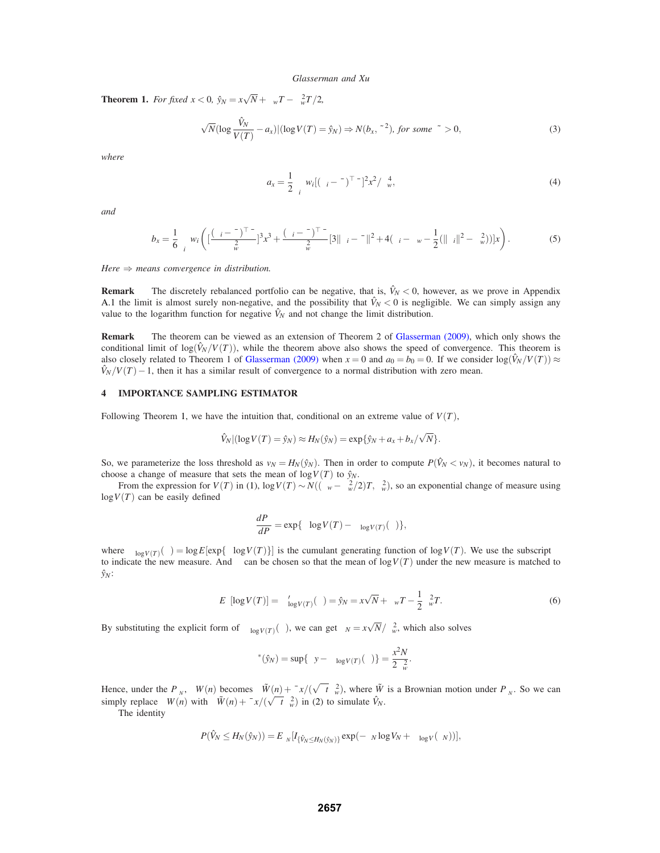**Theorem 1.** *For fixed*  $x < 0$ ,  $\hat{y}_N = x\sqrt{N} + \mu_w T - \sigma_w^2 T/2$ ,

$$
\sqrt{N}(\log \frac{\hat{V}_N}{V(T)} - a_x)|(\log V(T) = \hat{y}_N) \Rightarrow N(b_x, \tilde{\sigma}^2), \text{ for some } \tilde{\sigma} > 0,
$$
\n(3)

*where*

$$
a_x = \frac{1}{2} \sum_i w_i [(\sigma_i - \bar{\sigma})^\top \bar{\sigma}]^2 x^2 / \sigma_w^4,
$$
\n(4)

*and*

$$
b_x = \frac{1}{6} \sum_i w_i \left( \left[ \frac{(\sigma_i - \bar{\sigma})^\top \bar{\sigma}}{\sigma_w^2} \right]^3 x^3 + \frac{(\sigma_i - \bar{\sigma})^\top \bar{\sigma}}{\sigma_w^2} \left[ 3 \|\sigma_i - \bar{\sigma}\|^2 + 4(\mu_i - \mu_w - \frac{1}{2} (\|\sigma_i\|^2 - \sigma_w^2)) \right] x \right). \tag{5}
$$

*Here* ⇒ *means convergence in distribution.*

**Remark** The discretely rebalanced portfolio can be negative, that is,  $\hat{V}_N < 0$ , however, as we prove in Appendix A.1 the limit is almost surely non-negative, and the possibility that  $\hat{V}_N < 0$  is negligible. We can simply assign any value to the logarithm function for negative  $\hat{V}_N$  and not change the limit distribution.

**Remark** The theorem can be viewed as an extension of Theorem 2 of Glasserman (2009), which only shows the conditional limit of  $log(\hat{V}_N/V(T))$ , while the theorem above also shows the speed of convergence. This theorem is also closely related to Theorem 1 of Glasserman (2009) when  $x = 0$  and  $a_0 = b_0 = 0$ . If we consider  $\log(\hat{V}_N/V(T)) \approx$  $\hat{V}_N/V(T) - 1$ , then it has a similar result of convergence to a normal distribution with zero mean.

# **4 IMPORTANCE SAMPLING ESTIMATOR**

Following Theorem 1, we have the intuition that, conditional on an extreme value of  $V(T)$ ,

$$
\hat{V}_N | (\log V(T) = \hat{y}_N) \approx H_N(\hat{y}_N) = \exp{\{\hat{y}_N + a_x + b_x/\sqrt{N}\}}.
$$

So, we parameterize the loss threshold as  $v_N = H_N(\hat{y}_N)$ . Then in order to compute  $P(\hat{V}_N < v_N)$ , it becomes natural to choose a change of measure that sets the mean of  $log V(T)$  to  $\hat{y}_N$ .

From the expression for  $V(T)$  in (1),  $\log V(T) \sim N((\mu_w - \sigma_w^2/2)T, \sigma_w^2)$ , so an exponential change of measure using  $log V(T)$  can be easily defined

$$
\frac{dP_{\theta}}{dP} = \exp{\{\theta \log V(T) - \Psi_{\log V(T)}(\theta)\}},
$$

where  $\Psi_{\log V(T)}(\theta) = \log E[\exp{\{\theta \log V(T)\}}]$  is the cumulant generating function of  $\log V(T)$ . We use the subscript  $\theta$ to indicate the new measure. And  $\theta$  can be chosen so that the mean of  $\log V(T)$  under the new measure is matched to *y*ˆ*N*:

$$
E_{\theta}[\log V(T)] = \Psi_{\log V(T)}'(\theta) = \hat{y}_N = x\sqrt{N} + \mu_w T - \frac{1}{2}\sigma_w^2 T.
$$
 (6)

.

By substituting the explicit form of  $\Psi_{\log V(T)}(\theta)$ , we can get  $\theta_N = x\sqrt{N}/\sigma_w^2$ , which also solves

$$
\Psi^*(\hat{y}_N) = \sup_{\theta} \{ \theta y - \Psi_{\log V(T)}(\theta) \} = \frac{x^2 N}{2 \sigma_w^2}
$$

Hence, under the  $P_{\theta_N}$ ,  $\Delta W(n)$  becomes  $\Delta \tilde{W}(n) + \bar{\sigma} x/(\sqrt{\Delta t} \sigma_w^2)$ , where  $\tilde{W}$  is a Brownian motion under  $P_{\theta_N}$ . So we can simply replace  $\Delta W(n)$  with  $\Delta \tilde{W}(n) + \bar{\sigma} x/(\sqrt{\Delta t} \sigma_w^2)$  in (2) to simulate  $\hat{V}_N$ .

The identity

$$
P(\hat{V}_N \leq H_N(\hat{y}_N)) = E_{\theta_N}[I_{\{\hat{V}_N \leq H_N(\hat{y}_N)\}} \exp(-\theta_N \log V_N + \Psi_{\log V}(\theta_N))].
$$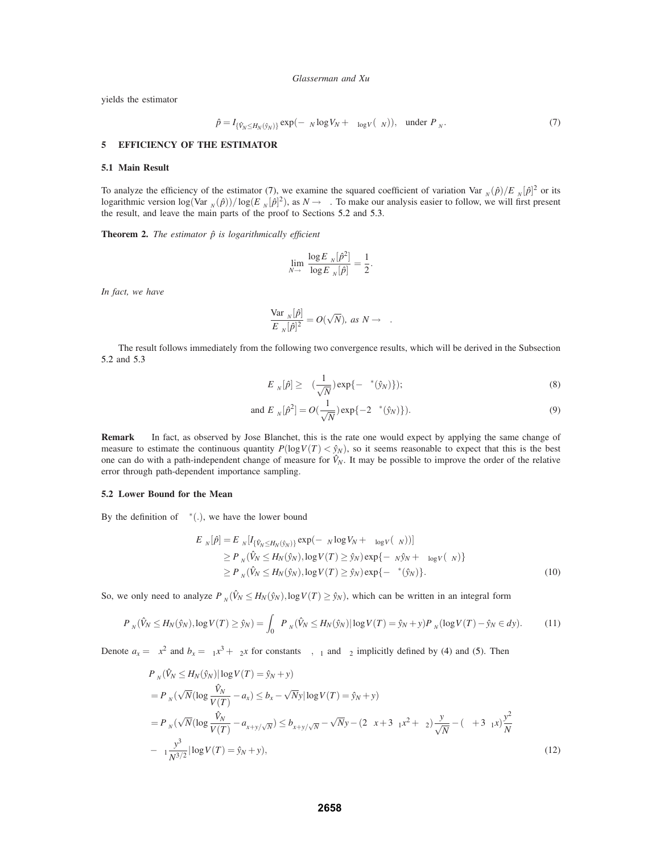yields the estimator

$$
\hat{p} = I_{\{\hat{V}_N \le H_N(\hat{y}_N)\}} \exp(-\theta_N \log V_N + \Psi_{\log V}(\theta_N)), \text{ under } P_{\theta_N}.
$$
\n(7)

### **5 EFFICIENCY OF THE ESTIMATOR**

## **5.1 Main Result**

To analyze the efficiency of the estimator (7), we examine the squared coefficient of variation  $Var_{\theta_N}(\hat{p})/E_{\theta_N}[\hat{p}]^2$  or its logarithmic version  $\log(\text{Var}_{\theta_N}(\hat{p})) / \log(E_{\theta_N}[\hat{p}]^2)$ , as  $N \to \infty$ . To make our analysis easier to follow, we will first present the result, and leave the main parts of the proof to Sections 5.2 and 5.3.

**Theorem 2.** *The estimator*  $\hat{p}$  *is logarithmically efficient* 

$$
\lim_{N\to\infty}\frac{\log E_{\theta_N}[\hat{p}^2]}{\log E_{\theta_N}[\hat{p}]}=\frac{1}{2}.
$$

*In fact, we have*

$$
\frac{\text{Var}_{\theta_N}[\hat{p}]}{E_{\theta_N}[\hat{p}]^2} = O(\sqrt{N}), \text{ as } N \to \infty.
$$

The result follows immediately from the following two convergence results, which will be derived in the Subsection 5.2 and 5.3

$$
E_{\theta_N}[\hat{p}] \geq \Theta(\frac{1}{\sqrt{N}}) \exp\{-\Psi^*(\hat{y}_N)\});\tag{8}
$$

and 
$$
E_{\theta_N}[\hat{p}^2] = O(\frac{1}{\sqrt{N}}) \exp\{-2\Psi^*(\hat{y}_N)\}).
$$
 (9)

**Remark** In fact, as observed by Jose Blanchet, this is the rate one would expect by applying the same change of measure to estimate the continuous quantity  $P(\log V(T) < \hat{y}_N)$ , so it seems reasonable to expect that this is the best one can do with a path-independent change of measure for  $\hat{V}_N$ . It may be possible to improve the order of the relative error through path-dependent importance sampling.

### **5.2 Lower Bound for the Mean**

By the definition of  $\Psi^*(.)$ , we have the lower bound

$$
E_{\theta_N}[\hat{p}] = E_{\theta_N}[I_{\{\hat{V}_N \leq H_N(\hat{y}_N)\}} \exp(-\theta_N \log V_N + \Psi_{\log V}(\theta_N))]
$$
  
\n
$$
\geq P_{\theta_N}(\hat{V}_N \leq H_N(\hat{y}_N), \log V(T) \geq \hat{y}_N) \exp\{-\theta_N \hat{y}_N + \Psi_{\log V}(\theta_N)\}
$$
  
\n
$$
\geq P_{\theta_N}(\hat{V}_N \leq H_N(\hat{y}_N), \log V(T) \geq \hat{y}_N) \exp\{-\Psi^*(\hat{y}_N)\}.
$$
 (10)

So, we only need to analyze  $P_{\theta_N}(\hat{V}_N \leq H_N(\hat{y}_N), \log V(T) \geq \hat{y}_N)$ , which can be written in an integral form

$$
P_{\theta_N}(\hat{V}_N \le H_N(\hat{y}_N), \log V(T) \ge \hat{y}_N) = \int_0^\infty P_{\theta_N}(\hat{V}_N \le H_N(\hat{y}_N) | \log V(T) = \hat{y}_N + y) P_{\theta_N}(\log V(T) - \hat{y}_N \in dy). \tag{11}
$$

Denote  $a_x = \alpha x^2$  and  $b_x = \beta_1 x^3 + \beta_2 x$  for constants  $\alpha, \beta_1$  and  $\beta_2$  implicitly defined by (4) and (5). Then

$$
P_{\theta_N}(\hat{V}_N \le H_N(\hat{y}_N) | \log V(T) = \hat{y}_N + y)
$$
  
=  $P_{\theta_N}(\sqrt{N}(\log \frac{\hat{V}_N}{V(T)} - a_x) \le b_x - \sqrt{N}y |\log V(T) = \hat{y}_N + y)$   
=  $P_{\theta_N}(\sqrt{N}(\log \frac{\hat{V}_N}{V(T)} - a_{x+y/\sqrt{N}}) \le b_{x+y/\sqrt{N}} - \sqrt{N}y - (2\alpha x + 3\beta_1 x^2 + \beta_2) \frac{y}{\sqrt{N}} - (\alpha + 3\beta_1 x) \frac{y^2}{N}$   
 $-\beta_1 \frac{y^3}{N^{3/2}} |\log V(T) = \hat{y}_N + y),$  (12)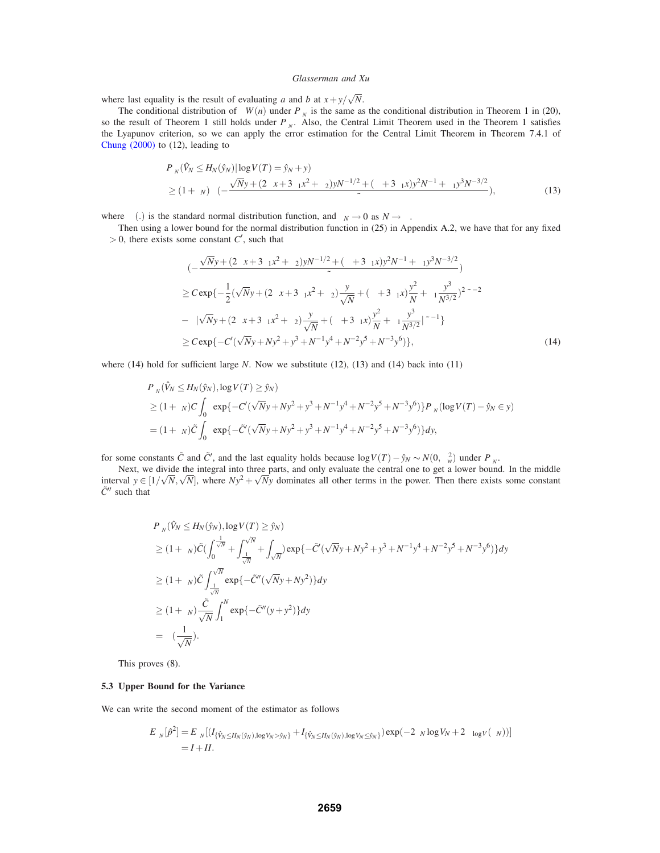where last equality is the result of evaluating *a* and *b* at  $x + y/\sqrt{N}$ .

The conditional distribution of  $\Delta W(n)$  under  $P_{\theta_N}$  is the same as the conditional distribution in Theorem 1 in (20), so the result of Theorem 1 still holds under *P*<sup>θ</sup>*<sup>N</sup>* . Also, the Central Limit Theorem used in the Theorem 1 satisfies the Lyapunov criterion, so we can apply the error estimation for the Central Limit Theorem in Theorem 7.4.1 of Chung (2000) to (12), leading to

$$
P_{\theta_N}(\hat{V}_N \le H_N(\hat{y}_N) | \log V(T) = \hat{y}_N + y)
$$
  
\n
$$
\ge (1 + \varepsilon_N) \Phi(-\frac{\sqrt{N}y + (2\alpha x + 3\beta_1 x^2 + \beta_2) y N^{-1/2} + (\alpha + 3\beta_1 x) y^2 N^{-1} + \beta_1 y^3 N^{-3/2}}{\tilde{\sigma}}),
$$
\n(13)

where  $\Phi(.)$  is the standard normal distribution function, and  $\varepsilon_N \to 0$  as  $N \to \infty$ .

Then using a lower bound for the normal distribution function in (25) in Appendix A.2, we have that for any fixed  $\delta$  > 0, there exists some constant *C'*, such that

$$
\Phi(-\frac{\sqrt{N}y + (2\alpha x + 3\beta_1 x^2 + \beta_2)yN^{-1/2} + (\alpha + 3\beta_1 x)y^2N^{-1} + \beta_1 y^3N^{-3/2}}{\tilde{\sigma}})
$$
\n
$$
\geq C \exp\{-\frac{1}{2}(\sqrt{N}y + (2\alpha x + 3\beta_1 x^2 + \beta_2)\frac{y}{\sqrt{N}} + (\alpha + 3\beta_1 x)\frac{y^2}{N} + \beta_1 \frac{y^3}{N^{3/2}})^2\tilde{\sigma}^{-2}
$$
\n
$$
-\delta|\sqrt{N}y + (2\alpha x + 3\beta_1 x^2 + \beta_2)\frac{y}{\sqrt{N}} + (\alpha + 3\beta_1 x)\frac{y^2}{N} + \beta_1 \frac{y^3}{N^{3/2}}|\tilde{\sigma}^{-1}\}\
$$
\n
$$
\geq C \exp\{-C'(\sqrt{N}y + Ny^2 + y^3 + N^{-1}y^4 + N^{-2}y^5 + N^{-3}y^6)\},\tag{14}
$$

where (14) hold for sufficient large *N*. Now we substitute (12), (13) and (14) back into (11)

$$
P_{\theta_N}(\hat{V}_N \le H_N(\hat{y}_N), \log V(T) \ge \hat{y}_N)
$$
  
\n
$$
\ge (1 + \varepsilon_N)C \int_0^\infty \exp\{-C'(\sqrt{N}y + Ny^2 + y^3 + N^{-1}y^4 + N^{-2}y^5 + N^{-3}y^6)\} P_{\theta_N}(\log V(T) - \hat{y}_N \in y)
$$
  
\n
$$
= (1 + \varepsilon_N)\tilde{C} \int_0^\infty \exp\{-\tilde{C}'(\sqrt{N}y + Ny^2 + y^3 + N^{-1}y^4 + N^{-2}y^5 + N^{-3}y^6)\} dy,
$$

for some constants  $\tilde{C}$  and  $\tilde{C}'$ , and the last equality holds because  $\log V(T) - \hat{y}_N \sim N(0, \sigma_w^2)$  under  $P_{\theta_N}$ .

Next, we divide the integral into three parts, and only evaluate the central one to get a lower bound. In the middle interval  $y \in [1/\sqrt{N}, \sqrt{N}]$ , where  $Ny^2 + \sqrt{Ny}$  dominates all other terms in the power. Then there exists some constant  $ilde{C}$ <sup> $\prime\prime$ </sup> such that

$$
P_{\theta_N}(\hat{V}_N \leq H_N(\hat{y}_N), \log V(T) \geq \hat{y}_N)
$$
  
\n
$$
\geq (1 + \varepsilon_N)\tilde{C}(\int_0^{\frac{1}{\sqrt{N}}} + \int_{\frac{1}{\sqrt{N}}}^{\sqrt{N}} + \int_{\sqrt{N}}^{\infty})\exp\{-\tilde{C}'(\sqrt{N}y + Ny^2 + y^3 + N^{-1}y^4 + N^{-2}y^5 + N^{-3}y^6)\}dy
$$
  
\n
$$
\geq (1 + \varepsilon_N)\tilde{C}\int_{\frac{1}{\sqrt{N}}}^{\sqrt{N}} \exp\{-\tilde{C}''(\sqrt{N}y + Ny^2)\}dy
$$
  
\n
$$
\geq (1 + \varepsilon_N)\frac{\tilde{C}}{\sqrt{N}}\int_1^N \exp\{-\tilde{C}''(y + y^2)\}dy
$$
  
\n
$$
= \Theta(\frac{1}{\sqrt{N}}).
$$

This proves (8).

# **5.3 Upper Bound for the Variance**

We can write the second moment of the estimator as follows

$$
E_{\theta_N}[\hat{p}^2] = E_{\theta_N}[(I_{\{\hat{V}_N \leq H_N(\hat{y}_N), \log V_N > \hat{y}_N\}} + I_{\{\hat{V}_N \leq H_N(\hat{y}_N), \log V_N \leq \hat{y}_N\}}) \exp(-2\theta_N \log V_N + 2\Psi_{\log V}(\theta_N))]
$$
  
=  $I + II$ .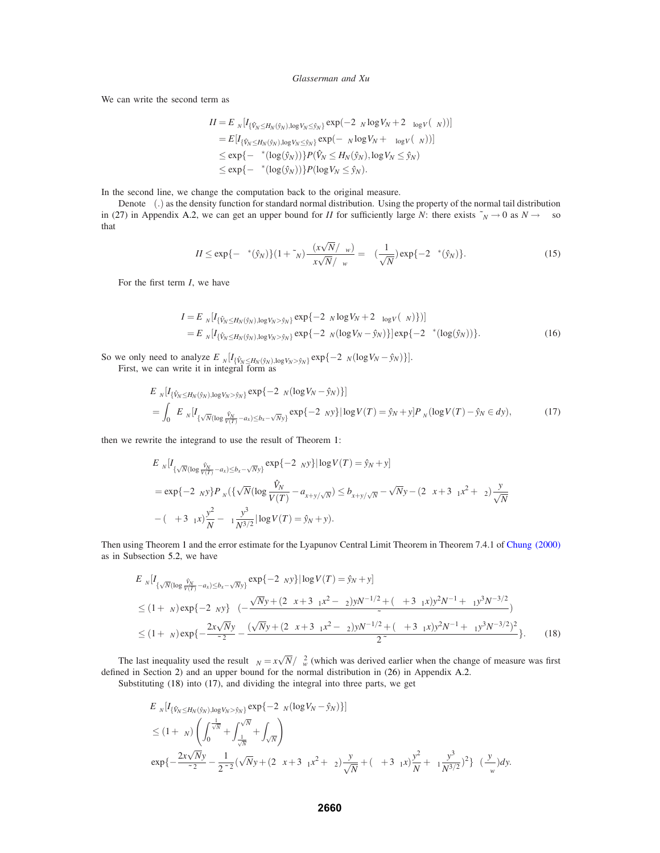We can write the second term as

$$
II = E_{\theta_N}[I_{\{\hat{V}_N \leq H_N(\hat{y}_N), \log V_N \leq \hat{y}_N\}} \exp(-2\theta_N \log V_N + 2\Psi_{\log V}(\theta_N))]
$$
  
\n
$$
= E[I_{\{\hat{V}_N \leq H_N(\hat{y}_N), \log V_N \leq \hat{y}_N\}} \exp(-\theta_N \log V_N + \Psi_{\log V}(\theta_N))]
$$
  
\n
$$
\leq \exp\{-\Psi^*(\log(\hat{y}_N))\} P(\hat{V}_N \leq H_N(\hat{y}_N), \log V_N \leq \hat{y}_N)
$$
  
\n
$$
\leq \exp\{-\Psi^*(\log(\hat{y}_N))\} P(\log V_N \leq \hat{y}_N).
$$

In the second line, we change the computation back to the original measure.

Denote  $\phi(.)$  as the density function for standard normal distribution. Using the property of the normal tail distribution in (27) in Appendix A.2, we can get an upper bound for *II* for sufficiently large *N*: there exists  $\tilde{\epsilon}_N \to 0$  as  $N \to \infty$  so that

$$
II \le \exp\{-\Psi^*(\hat{y}_N)\}(1+\tilde{\epsilon}_N)\frac{\phi(x\sqrt{N}/\sigma_w)}{x\sqrt{N}/\sigma_w} = \Theta(\frac{1}{\sqrt{N}})\exp\{-2\Psi^*(\hat{y}_N)\}.
$$
\n(15)

For the first term *I*, we have

$$
I = E_{\theta_N} [I_{\{\hat{V}_N \le H_N(\hat{y}_N), \log V_N > \hat{y}_N\}} \exp\{-2\theta_N \log V_N + 2\Psi_{\log V}(\theta_N)\} ]]
$$
  
=  $E_{\theta_N} [I_{\{\hat{V}_N \le H_N(\hat{y}_N), \log V_N > \hat{y}_N\}} \exp\{-2\theta_N (\log V_N - \hat{y}_N)\}] \exp\{-2\Psi^*(\log(\hat{y}_N))\}.$  (16)

So we only need to analyze  $E_{\theta_N}[I_{\{\hat{V}_N \leq H_N(\hat{y}_N), \log V_N > \hat{y}_N\}} \exp\{-2\theta_N(\log V_N - \hat{y}_N)\}]$ .<br>First, we can write it in integral form as

$$
E_{\theta_N}[I_{\{\hat{V}_N \le H_N(\hat{y}_N), \log V_N > \hat{y}_N\}} \exp\{-2\theta_N(\log V_N - \hat{y}_N)\}]
$$
  
= 
$$
\int_0^\infty E_{\theta_N}[I_{\{\sqrt{N}(\log \frac{\hat{V}_N}{V(T)} - a_x) \le b_x - \sqrt{N}y\}} \exp\{-2\theta_N y\} |\log V(T) = \hat{y}_N + y] P_{\theta_N}(\log V(T) - \hat{y}_N \in dy),
$$
 (17)

then we rewrite the integrand to use the result of Theorem 1:

$$
E_{\theta_N}[I_{\{\sqrt{N}(\log \frac{\hat{V}_N}{V(T)} - a_x) \le b_x - \sqrt{N}y\}} \exp\{-2\theta_N y\} | \log V(T) = \hat{y}_N + y]
$$
  
=  $\exp\{-2\theta_N y\} P_{\theta_N}(\{\sqrt{N}(\log \frac{\hat{V}_N}{V(T)} - a_{x+y/\sqrt{N}}) \le b_{x+y/\sqrt{N}} - \sqrt{N}y - (2\alpha x + 3\beta_1 x^2 + \beta_2)\frac{y}{\sqrt{N}} - (\alpha + 3\beta_1 x)\frac{y^2}{N} - \beta_1 \frac{y^3}{N^{3/2}} |\log V(T) = \hat{y}_N + y).$ 

Then using Theorem 1 and the error estimate for the Lyapunov Central Limit Theorem in Theorem 7.4.1 of Chung (2000) as in Subsection 5.2, we have

$$
E_{\theta_N}[I_{\{\sqrt{N}(\log \frac{\hat{V}_N}{V(T)} - a_x) \le b_x - \sqrt{N}y\}} \exp\{-2\theta_N y\} |\log V(T) = \hat{y}_N + y]
$$
  
\n
$$
\le (1 + \varepsilon_N) \exp\{-2\theta_N y\} \Phi(-\frac{\sqrt{N}y + (2\alpha x + 3\beta_1 x^2 - \beta_2) y N^{-1/2} + (\alpha + 3\beta_1 x) y^2 N^{-1} + \beta_1 y^3 N^{-3/2}}{\tilde{\sigma}})\}
$$
  
\n
$$
\le (1 + \varepsilon_N) \exp\{-\frac{2x\sqrt{N}y}{\tilde{\sigma}^2} - \frac{(\sqrt{N}y + (2\alpha x + 3\beta_1 x^2 - \beta_2) y N^{-1/2} + (\alpha + 3\beta_1 x) y^2 N^{-1} + \beta_1 y^3 N^{-3/2})^2}{2\tilde{\sigma}}\}.
$$
 (18)

The last inequality used the result  $\theta_N = x\sqrt{N}/\sigma_w^2$  (which was derived earlier when the change of measure was first defined in Section 2) and an upper bound for the normal distribution in (26) in Appendix A.2.

Substituting (18) into (17), and dividing the integral into three parts, we get

$$
E_{\theta_N}[I_{\{\hat{V}_N \leq H_N(\hat{y}_N),\log V_N > \hat{y}_N\}} \exp\{-2\theta_N(\log V_N - \hat{y}_N)\}]
$$
  
\n
$$
\leq (1 + \varepsilon_N) \left( \int_0^{\frac{1}{\sqrt{N}}} + \int_{\frac{1}{\sqrt{N}}}^{\sqrt{N}} + \int_{\sqrt{N}}^{\infty} \right)
$$
  
\n
$$
\exp\{-\frac{2x\sqrt{N}y}{\tilde{\sigma}^2} - \frac{1}{2\tilde{\sigma}^2}(\sqrt{N}y + (2\alpha x + 3\beta_1 x^2 + \beta_2)\frac{y}{\sqrt{N}} + (\alpha + 3\beta_1 x)\frac{y^2}{N} + \beta_1 \frac{y^3}{N^{3/2}})^2\}\phi(\frac{y}{\sigma_w})dy.
$$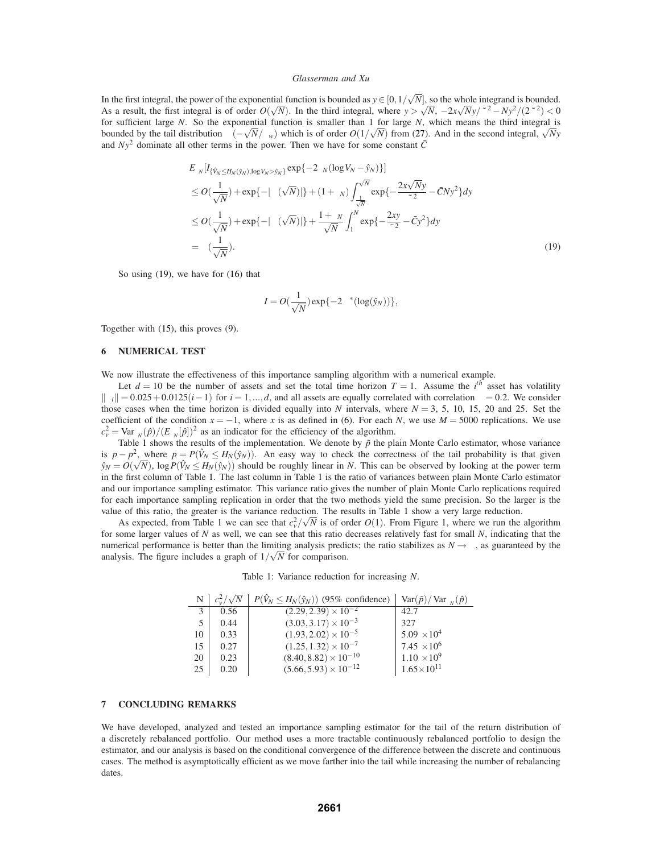In the first integral, the power of the exponential function is bounded as  $y \in [0, 1/\sqrt{N}]$ , so the whole integrand is bounded. As a result, the first integral is of order  $O(\sqrt{N})$ . In the third integral, where  $y > \sqrt{N}$ ,  $-2x\sqrt{N}y/\tilde{\sigma}^2 - Ny^2/(2\tilde{\sigma}^2) < 0$ for sufficient large *N*. So the exponential function is smaller than 1 for large *N*, which means the third integral is bounded by the tail distribution  $\Phi(-\sqrt{N}/\sigma_w)$  which is of order  $O(1/\sqrt{N})$  from (27). And in the second integral,  $\sqrt{N}y$ and  $Ny^2$  dominate all other terms in the power. Then we have for some constant  $\bar{C}$ 

$$
E_{\theta_N}[I_{\{\hat{V}_N \leq H_N(\hat{y}_N), \log V_N > \hat{y}_N\}} \exp\{-2\theta_N(\log V_N - \hat{y}_N)\}]
$$
  
\n
$$
\leq O(\frac{1}{\sqrt{N}}) + \exp\{-|\Omega(\sqrt{N})|\} + (1 + \varepsilon_N) \int_{\frac{1}{\sqrt{N}}}^{\sqrt{N}} \exp\{-\frac{2x\sqrt{N}y}{\tilde{\sigma}^2} - \bar{C}Ny^2\} dy
$$
  
\n
$$
\leq O(\frac{1}{\sqrt{N}}) + \exp\{-|\Omega(\sqrt{N})|\} + \frac{1 + \varepsilon_N}{\sqrt{N}} \int_1^N \exp\{-\frac{2xy}{\tilde{\sigma}^2} - \bar{C}y^2\} dy
$$
  
\n
$$
= \Theta(\frac{1}{\sqrt{N}}).
$$
\n(19)

So using (19), we have for (16) that

$$
I = O(\frac{1}{\sqrt{N}}) \exp\{-2\Psi^*(\log(\hat{y}_N))\},\,
$$

Together with (15), this proves (9).

# **6 NUMERICAL TEST**

We now illustrate the effectiveness of this importance sampling algorithm with a numerical example.

Let  $d = 10$  be the number of assets and set the total time horizon  $T = 1$ . Assume the *i*<sup>th</sup> asset has volatility  $\|\sigma_i\| = 0.025 + 0.0125(i-1)$  for  $i = 1, ..., d$ , and all assets are equally correlated with correlation  $\rho = 0.2$ . We consider those cases when the time horizon is divided equally into *N* intervals, where  $N = 3, 5, 10, 15, 20$  and 25. Set the coefficient of the condition  $x = -1$ , where *x* is as defined in (6). For each *N*, we use  $M = 5000$  replications. We use  $c_v^2 = \text{Var}_{\theta_N}(\hat{p})/(E_{\theta_N}[\hat{p}])^2$  as an indicator for the efficiency of the algorithm.

Table 1 shows the results of the implementation. We denote by  $\tilde{p}$  the plain Monte Carlo estimator, whose variance is  $p - p^2$ , where  $p = P(\hat{V}_N \leq H_N(\hat{y}_N))$ . An easy way to check the correctness of the tail probability is that given  $\hat{y}_N = O(\sqrt{N})$ ,  $\log P(\hat{V}_N \leq H_N(\hat{y}_N))$  should be roughly linear in *N*. This can be observed by looking at the power term in the first column of Table 1. The last column in Table 1 is the ratio of variances between plain Monte Carlo estimator and our importance sampling estimator. This variance ratio gives the number of plain Monte Carlo replications required for each importance sampling replication in order that the two methods yield the same precision. So the larger is the value of this ratio, the greater is the variance reduction. The results in Table 1 show a very large reduction.

As expected, from Table 1 we can see that  $c_v^2/\sqrt{N}$  is of order  $O(1)$ . From Figure 1, where we run the algorithm for some larger values of *N* as well, we can see that this ratio decreases relatively fast for small *N*, indicating that the numerical performance is better than the limiting analysis predicts; the ratio stabilizes as  $N \rightarrow \infty$ , as guaranteed by the analysis. The figure includes a graph of  $1/\sqrt{N}$  for comparison.

Table 1: Variance reduction for increasing *N*.

|    | $c_v^2/\sqrt{N}$ | $P(\hat{V}_N \leq H_N(\hat{y}_N))$ (95% confidence) | $\text{Var}(\tilde{p})/\text{Var}_{\theta_N}(\hat{p})$ |
|----|------------------|-----------------------------------------------------|--------------------------------------------------------|
| 3  | 0.56             | $(2.\overline{29,2.39})\times 10^{-2}$              | 42.7                                                   |
| 5. | 0.44             | $(3.03, 3.17) \times 10^{-3}$                       | 327                                                    |
| 10 | 0.33             | $(1.93, 2.02) \times 10^{-5}$                       | $5.09 \times 10^{4}$                                   |
| 15 | 0.27             | $(1.25, 1.32) \times 10^{-7}$                       | 7.45 $\times 10^6$                                     |
| 20 | 0.23             | $(8.40, 8.82) \times 10^{-10}$                      | $1.10 \times 10^{9}$                                   |
| 25 | 0.20             | $(5.66, 5.93) \times 10^{-12}$                      | $1.65\times10^{11}$                                    |

# **7 CONCLUDING REMARKS**

We have developed, analyzed and tested an importance sampling estimator for the tail of the return distribution of a discretely rebalanced portfolio. Our method uses a more tractable continuously rebalanced portfolio to design the estimator, and our analysis is based on the conditional convergence of the difference between the discrete and continuous cases. The method is asymptotically efficient as we move farther into the tail while increasing the number of rebalancing dates.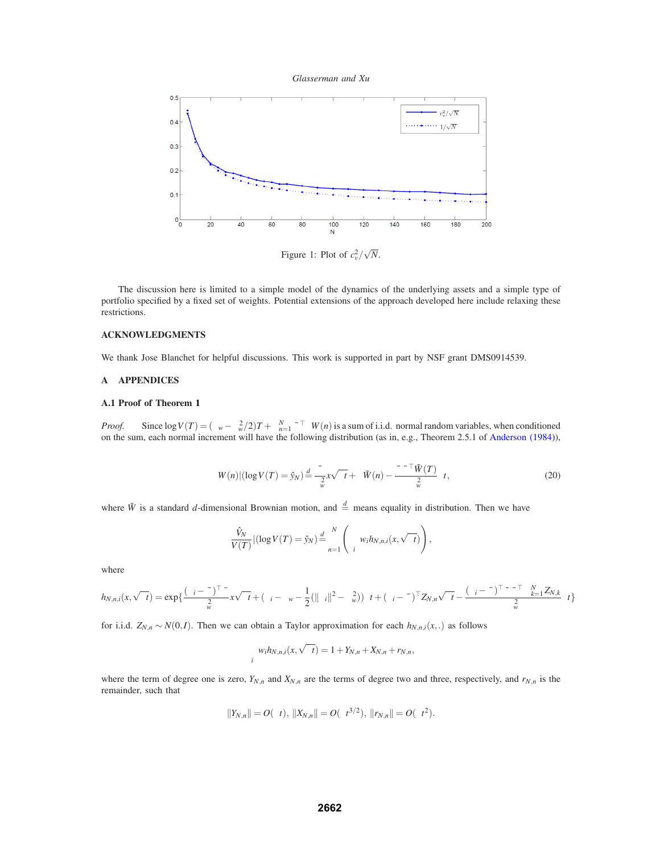*Glasserman and Xu*



Figure 1: Plot of  $c_v^2/\sqrt{N}$ .

The discussion here is limited to a simple model of the dynamics of the underlying assets and a simple type of portfolio specified by a fixed set of weights. Potential extensions of the approach developed here include relaxing these restrictions.

## **ACKNOWLEDGMENTS**

We thank Jose Blanchet for helpful discussions. This work is supported in part by NSF grant DMS0914539.

# **A APPENDICES**

## **A.1 Proof of Theorem 1**

*Proof.* Since  $\log V(T) = (\mu_w - \sigma_w^2/2)T + \sum_{n=1}^N \bar{\sigma}^\top \Delta W(n)$  is a sum of i.i.d. normal random variables, when conditioned on the sum, each normal increment will have the following distribution (as in, e.g., Theorem 2.5.1 of Anderson (1984)),

$$
\Delta W(n)|(\log V(T) = \hat{y}_N) \stackrel{d}{=} \frac{\bar{\sigma}}{\sigma_w^2} x\sqrt{\Delta t} + \Delta \tilde{W}(n) - \frac{\bar{\sigma}\bar{\sigma}^\top \tilde{W}(T)}{\sigma_w^2} \Delta t,\tag{20}
$$

where  $\tilde{W}$  is a standard *d*-dimensional Brownian motion, and  $\frac{d}{dx}$  means equality in distribution. Then we have

$$
\frac{\hat{V}_N}{V(T)} |(\log V(T) = \hat{y}_N) \stackrel{d}{=} \prod_{n=1}^N \left( \sum_i w_i h_{N,n,i}(x, \sqrt{\Delta t}) \right),
$$

where

$$
h_{N,n,i}(x,\sqrt{\Delta t}) = \exp\left\{\frac{(\sigma_i - \bar{\sigma})^{\top} \bar{\sigma}}{\sigma_w^2} x \sqrt{\Delta t} + (\mu_i - \mu_w - \frac{1}{2}(\|\sigma_i\|^2 - \sigma_w^2))\Delta t + (\sigma_i - \bar{\sigma})^{\top} Z_{N,n}\sqrt{\Delta t} - \frac{(\sigma_i - \bar{\sigma})^{\top} \bar{\sigma} \bar{\sigma}^{\top} \sum_{k=1}^N Z_{N,k}}{\sigma_w^2} \Delta t\right\}
$$

for i.i.d.  $Z_{N,n} \sim N(0,I)$ . Then we can obtain a Taylor approximation for each  $h_{N,n,i}(x,.)$  as follows

$$
\sum_{i} w_i h_{N,n,i}(x,\sqrt{\Delta t}) = 1 + Y_{N,n} + X_{N,n} + r_{N,n},
$$

where the term of degree one is zero,  $Y_{N,n}$  and  $X_{N,n}$  are the terms of degree two and three, respectively, and  $r_{N,n}$  is the remainder, such that

$$
||Y_{N,n}|| = O(\Delta t), ||X_{N,n}|| = O(\Delta t^{3/2}), ||r_{N,n}|| = O(\Delta t^2).
$$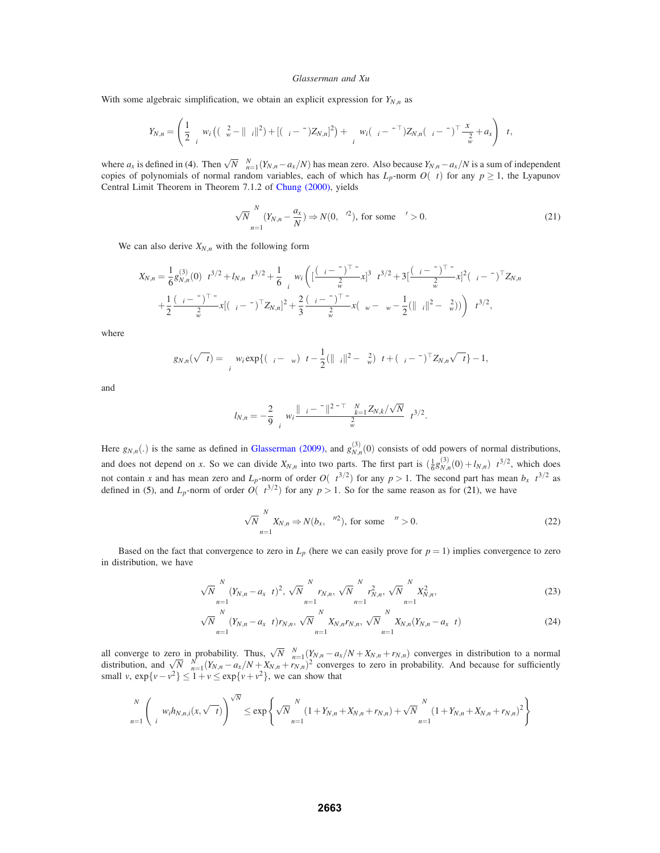With some algebraic simplification, we obtain an explicit expression for  $Y_{N,n}$  as

$$
Y_{N,n} = \left(\frac{1}{2}\sum_i w_i\left((\sigma_w^2 - \|\sigma_i\|^2) + [(\sigma_i - \bar{\sigma})Z_{N,n}]^2\right) + \sum_i w_i(\sigma_i - \bar{\sigma}^\top)Z_{N,n}(\sigma_i - \bar{\sigma})^\top \frac{x}{\sigma_w^2} + a_x\right)\Delta t,
$$

where  $a_x$  is defined in (4). Then  $\sqrt{N} \sum_{n=1}^{N} (Y_{N,n} - a_x/N)$  has mean zero. Also because  $Y_{N,n} - a_x/N$  is a sum of independent copies of polynomials of normal random variables, each of which has  $L_p$ -norm  $O(\Delta t)$  for any  $p \ge 1$ , the Lyapunov Central Limit Theorem in Theorem 7.1.2 of Chung (2000), yields

$$
\sqrt{N} \sum_{n=1}^{N} (Y_{N,n} - \frac{a_X}{N}) \Rightarrow N(0, \sigma^2), \text{ for some } \sigma' > 0.
$$
 (21)

We can also derive  $X_{N,n}$  with the following form

$$
X_{N,n} = \frac{1}{6} g_{N,n}^{(3)}(0) \Delta t^{3/2} + I_{N,n} \Delta t^{3/2} + \frac{1}{6} \sum_i w_i \left( \left[ \frac{(\sigma_i - \bar{\sigma})^\top \bar{\sigma}}{\sigma_w^2} x \right]^3 \Delta t^{3/2} + 3 \left[ \frac{(\sigma_i - \bar{\sigma})^\top \bar{\sigma}}{\sigma_w^2} x \right]^2 (\sigma_i - \bar{\sigma})^\top Z_{N,n} \right. \\ + \frac{1}{2} \frac{(\sigma_i - \bar{\sigma})^\top \bar{\sigma}}{\sigma_w^2} x \left[ (\sigma_i - \bar{\sigma})^\top Z_{N,n} \right]^2 + \frac{2}{3} \frac{(\sigma_i - \bar{\sigma})^\top \bar{\sigma}}{\sigma_w^2} x (\mu_w - \mu_w - \frac{1}{2} (\|\sigma_i\|^2 - \sigma_w^2)) \right) \Delta t^{3/2},
$$

where

$$
g_{N,n}(\sqrt{\Delta t}) = \sum_i w_i \exp\{(\mu_i - \mu_w)\Delta t - \frac{1}{2}(\|\sigma_i\|^2 - \sigma_w^2)\Delta t + (\sigma_i - \bar{\sigma})^\top Z_{N,n}\sqrt{\Delta t}\} - 1,
$$

and

$$
l_{N,n}=-\frac{2}{9}\sum_i w_i \frac{\|\sigma_i-\bar{\sigma}\|^2 \bar{\sigma}^\top \sum_{k=1}^N Z_{N,k}/\sqrt{N}}{\sigma_w^2} \Delta t^{3/2}.
$$

Here  $g_{N,n}$ (.) is the same as defined in Glasserman (2009), and  $g_{N,n}^{(3)}(0)$  consists of odd powers of normal distributions, and does not depend on *x*. So we can divide  $X_{N,n}$  into two parts. The first part is  $(\frac{1}{6}g_{N,n}^{(3)}(0) + l_{N,n})\Delta t^{3/2}$ , which does not contain *x* and has mean zero and *L<sub>p</sub>*-norm of order  $O(\Delta t^{3/2})$  for any  $p > 1$ . The second part has mean  $b_x \Delta t^{3/2}$  as defined in (5), and  $L_p$ -norm of order  $O(\Delta t^{3/2})$  for any  $p > 1$ . So for the same reason as for (21), we have

$$
\sqrt{N} \sum_{n=1}^{N} X_{N,n} \Rightarrow N(b_x, \sigma^{\prime\prime 2}), \text{ for some } \sigma^{\prime\prime} > 0.
$$
 (22)

Based on the fact that convergence to zero in  $L_p$  (here we can easily prove for  $p = 1$ ) implies convergence to zero in distribution, we have

$$
\sqrt{N} \sum_{n=1}^{N} (Y_{N,n} - a_x \Delta t)^2, \sqrt{N} \sum_{n=1}^{N} r_{N,n}, \sqrt{N} \sum_{n=1}^{N} r_{N,n}^2, \sqrt{N} \sum_{n=1}^{N} X_{N,n}^2,
$$
\n(23)

$$
\sqrt{N} \sum_{n=1}^{N} (Y_{N,n} - a_x \Delta t) r_{N,n}, \sqrt{N} \sum_{n=1}^{N} X_{N,n} r_{N,n}, \sqrt{N} \sum_{n=1}^{N} X_{N,n} (Y_{N,n} - a_x \Delta t)
$$
\n(24)

all converge to zero in probability. Thus,  $\sqrt{N} \sum_{n=1}^{N} (Y_{N,n} - a_x/N + X_{N,n} + r_{N,n})$  converges in distribution to a normal distribution, and  $\sqrt{N} \sum_{n=1}^{N} (Y_{N,n} - a_x/N + X_{N,n} + r_{N,n})^2$  converges to zero in probability. And be small *v*,  $\exp\{v - v^2\} \le 1 + v \le \exp\{v + v^2\}$ , we can show that

$$
\prod_{n=1}^{N} \left( \sum_{i} w_{i} h_{N,n,i}(x, \sqrt{\Delta t}) \right)^{\sqrt{N}} \le \exp \left\{ \sqrt{N} \sum_{n=1}^{N} (1 + Y_{N,n} + X_{N,n} + r_{N,n}) + \sqrt{N} \sum_{n=1}^{N} (1 + Y_{N,n} + X_{N,n} + r_{N,n})^{2} \right\}
$$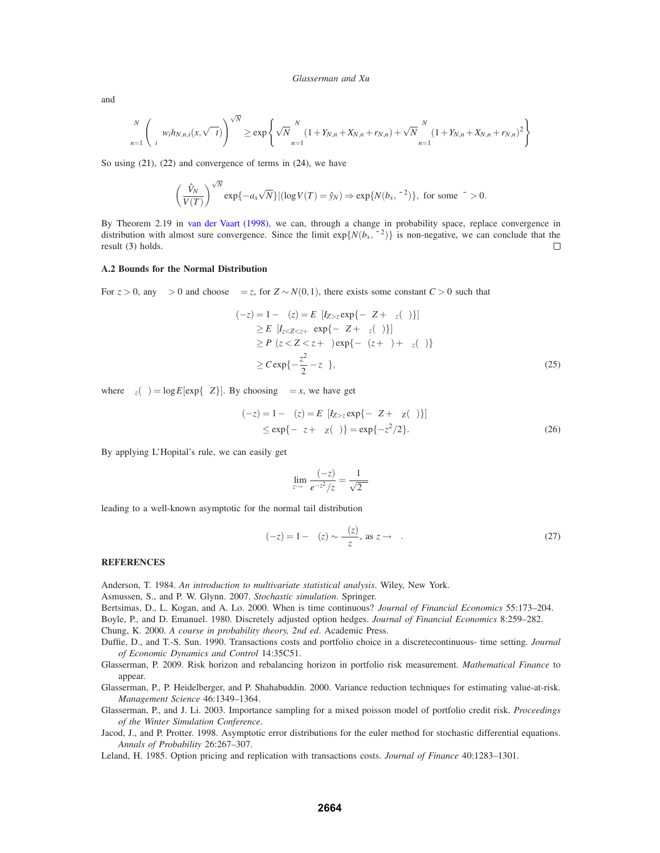and

$$
\prod_{n=1}^{N} \left( \sum_{i} w_{i} h_{N,n,i}(x, \sqrt{\Delta t}) \right)^{\sqrt{N}} \ge \exp \left\{ \sqrt{N} \sum_{n=1}^{N} (1 + Y_{N,n} + X_{N,n} + r_{N,n}) + \sqrt{N} \sum_{n=1}^{N} (1 + Y_{N,n} + X_{N,n} + r_{N,n})^{2} \right\}
$$

So using  $(21)$ ,  $(22)$  and convergence of terms in  $(24)$ , we have

$$
\left(\frac{\hat{V}_N}{V(T)}\right)^{\sqrt{N}}\exp\{-a_x\sqrt{N}\} |(\log V(T)=\hat{y}_N) \Rightarrow \exp\{N(b_x,\tilde{\sigma}^2)\}, \text{ for some } \tilde{\sigma} > 0.
$$

By Theorem 2.19 in van der Vaart (1998), we can, through a change in probability space, replace convergence in distribution with almost sure convergence. Since the limit  $exp{N(b_x, \tilde{\sigma}^2)}$  is non-negative, we can conclude that the result (3) holds. result (3) holds.

### **A.2 Bounds for the Normal Distribution**

For  $z > 0$ , any  $\delta > 0$  and choose  $\theta = z$ , for  $Z \sim N(0,1)$ , there exists some constant  $C > 0$  such that

$$
\Phi(-z) = 1 - \Phi(z) = E_{\theta}[I_{Z > z} \exp{\{-\theta Z + \Psi_{z}(\theta)\}}]
$$
\n
$$
\geq E_{\theta}[I_{z < Z < z+\delta} \exp{\{-\theta Z + \Psi_{z}(\theta)\}}]
$$
\n
$$
\geq P_{\theta}(z < Z < z+\delta) \exp{\{-\theta(z+\delta) + \Psi_{z}(\theta)\}}
$$
\n
$$
\geq C \exp{\{-\frac{z^{2}}{2} - z\delta\}},
$$
\n(25)

where  $\Phi_z(\theta) = \log E[\exp{\theta Z}]$ . By choosing  $\theta = x$ , we have get

$$
\Phi(-z) = 1 - \Phi(z) = E_{\theta}[I_{Z > z} \exp\{-\theta Z + \Psi_{Z}(\theta)\}]
$$
  
\n
$$
\leq \exp\{-\theta z + \Psi_{Z}(\theta)\} = \exp\{-z^{2}/2\}. \tag{26}
$$

By applying L'Hopital's rule, we can easily get

$$
\lim_{z \to \infty} \frac{\Phi(-z)}{e^{-z^2}/z} = \frac{1}{\sqrt{2\pi}}
$$

leading to a well-known asymptotic for the normal tail distribution

$$
\Phi(-z) = 1 - \Phi(z) \sim \frac{\phi(z)}{z}, \text{ as } z \to \infty.
$$
 (27)

### **REFERENCES**

Anderson, T. 1984. *An introduction to multivariate statistical analysis*. Wiley, New York.

Asmussen, S., and P. W. Glynn. 2007. *Stochastic simulation*. Springer.

Bertsimas, D., L. Kogan, and A. Lo. 2000. When is time continuous? *Journal of Financial Economics* 55:173–204.

Boyle, P., and D. Emanuel. 1980. Discretely adjusted option hedges. *Journal of Financial Economics* 8:259–282.

Chung, K. 2000. *A course in probability theory, 2nd ed*. Academic Press.

Duffie, D., and T.-S. Sun. 1990. Transactions costs and portfolio choice in a discretecontinuous- time setting. *Journal of Economic Dynamics and Control* 14:35C51.

Glasserman, P. 2009. Risk horizon and rebalancing horizon in portfolio risk measurement. *Mathematical Finance* to appear.

Glasserman, P., P. Heidelberger, and P. Shahabuddin. 2000. Variance reduction techniques for estimating value-at-risk. *Management Science* 46:1349–1364.

Glasserman, P., and J. Li. 2003. Importance sampling for a mixed poisson model of portfolio credit risk. *Proceedings of the Winter Simulation Conference*.

Jacod, J., and P. Protter. 1998. Asymptotic error distributions for the euler method for stochastic differential equations. *Annals of Probability* 26:267–307.

Leland, H. 1985. Option pricing and replication with transactions costs. *Journal of Finance* 40:1283–1301.